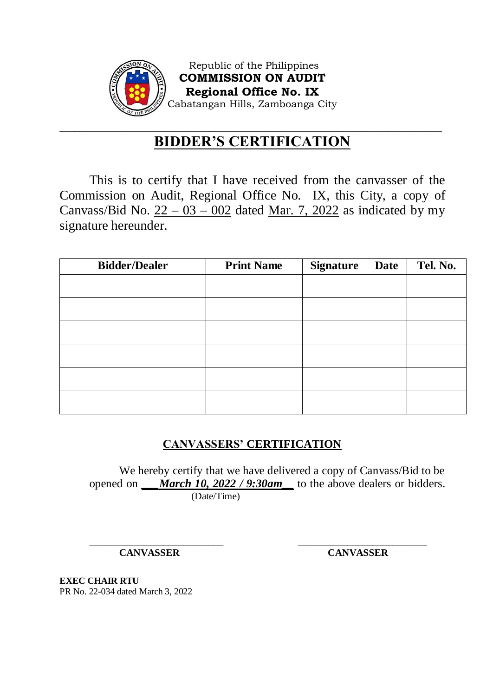

Republic of the Philippines **COMMISSION ON AUDIT Regional Office No. IX** Cabatangan Hills, Zamboanga City

### \_\_\_\_\_\_\_\_\_\_\_\_\_\_\_\_\_\_\_\_\_\_\_\_\_\_\_\_\_\_\_\_\_\_\_\_\_\_\_\_\_\_\_\_\_\_\_\_\_\_\_\_\_\_\_\_\_\_\_\_\_\_\_\_\_\_\_\_\_\_\_\_\_\_\_\_\_ **BIDDER'S CERTIFICATION**

This is to certify that I have received from the canvasser of the Commission on Audit, Regional Office No. IX, this City, a copy of Canvass/Bid No.  $22 - 03 - 002$  dated Mar. 7, 2022 as indicated by my signature hereunder.

| <b>Bidder/Dealer</b> | <b>Print Name</b> | <b>Signature</b> | <b>Date</b> | Tel. No. |
|----------------------|-------------------|------------------|-------------|----------|
|                      |                   |                  |             |          |
|                      |                   |                  |             |          |
|                      |                   |                  |             |          |
|                      |                   |                  |             |          |
|                      |                   |                  |             |          |
|                      |                   |                  |             |          |

## **CANVASSERS' CERTIFICATION**

We hereby certify that we have delivered a copy of Canvass/Bid to be opened on *\_\_\_March 10, 2022 / 9:30am\_\_* to the above dealers or bidders. (Date/Time)

\_\_\_\_\_\_\_\_\_\_\_\_\_\_\_\_\_\_\_\_\_\_\_\_\_\_\_ \_\_\_\_\_\_\_\_\_\_\_\_\_\_\_\_\_\_\_\_\_\_\_\_\_\_

**CANVASSER CANVASSER**

**EXEC CHAIR RTU** PR No. 22-034 dated March 3, 2022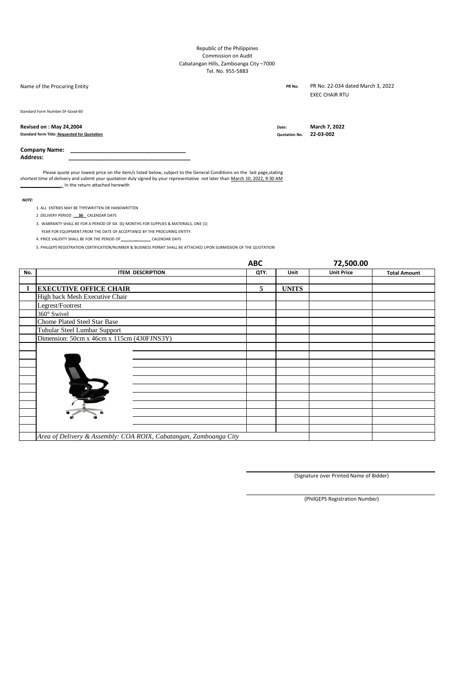#### Republic of the Philippines Commission on Audit Cabatangan Hills, Zamboanga City –7000 Tel. No. 955-5883

Name of the Procuring Entity **PR No. PR No. PR No. PR No.** 

PR No. 22-034 dated March 3, 2022 EXEC CHAIR RTU

Standard Form Number:SF-Good-60

### **Revised on : May 24,2004 Date: Date: Date: Date: Date: Date: Date: Date: Date: Date: Date: Date: Date: Date: Date: Date: Date: Date: Date: Date: Date: Date: Date: Date: Da**

**Standard form Title: Requested for Quotation Quotation No. 22-03-002**

#### **Company Name: \_\_\_\_\_\_\_\_\_\_\_\_\_\_\_\_\_\_\_\_\_\_\_\_\_\_\_\_\_\_\_\_\_\_\_\_\_**

**Address: \_\_\_\_\_\_\_\_\_\_\_\_\_\_\_\_\_\_\_\_\_\_\_\_\_\_\_\_\_\_\_\_\_\_\_\_\_\_\_**

Please quote your lowest price on the item/s listed below, subject to the General Conditions on the last page, stating shortest time of delivery and submit your quotation duly signed by your representative not later than March 10, 2022, 9:30 AM **\_\_\_\_\_\_\_\_\_\_\_\_\_\_\_\_.** In the return attached herewith

*NOTE:*

- 1. ALL ENTRIES MAY BE TYPEWRITTEN OR HANDWRITTEN
- 2 .DELIVERY PERIOD **\_\_30**\_ CALENDAR DAYS
- 3. WARRANTY SHALL BE FOR A PERIOD OF SIX (6) MONTHS FOR SUPPLIES & MATERIALS, ONE (1)
- YEAR FOR EQUIPMENT,FROM THE DATE OF ACCEPTANCE BY THE PROCURING ENTITY.
- 4. PRICE VALIDITY SHALL BE FOR THE PERIOD OF \_\_\_\_\_\_**\_\_**\_\_\_\_\_\_ CALENDAR DAYS

5. PHILGEPS REGISTRATION CERTIFICATION/NUMBER & BUSINESS PERMIT SHALL BE ATTACHED UPON SUBMISSION OF THE QUOTATION

|     |                                                                   | <b>ABC</b> |              | 72,500.00         |                     |  |
|-----|-------------------------------------------------------------------|------------|--------------|-------------------|---------------------|--|
| No. | <b>ITEM DESCRIPTION</b>                                           | QTY.       | Unit         | <b>Unit Price</b> | <b>Total Amount</b> |  |
|     |                                                                   |            |              |                   |                     |  |
|     | <b>EXECUTIVE OFFICE CHAIR</b>                                     | 5          | <b>UNITS</b> |                   |                     |  |
|     | High back Mesh Executive Chair                                    |            |              |                   |                     |  |
|     | Legrest/Footrest                                                  |            |              |                   |                     |  |
|     | 360° Swivel                                                       |            |              |                   |                     |  |
|     | Chome Plated Steel Star Base                                      |            |              |                   |                     |  |
|     | Tubular Steel Lumbar Support                                      |            |              |                   |                     |  |
|     | Dimension: 50cm x 46cm x 115cm (430FJNS3Y)                        |            |              |                   |                     |  |
|     |                                                                   |            |              |                   |                     |  |
|     |                                                                   |            |              |                   |                     |  |
|     |                                                                   |            |              |                   |                     |  |
|     |                                                                   |            |              |                   |                     |  |
|     |                                                                   |            |              |                   |                     |  |
|     |                                                                   |            |              |                   |                     |  |
|     |                                                                   |            |              |                   |                     |  |
|     |                                                                   |            |              |                   |                     |  |
|     |                                                                   |            |              |                   |                     |  |
|     |                                                                   |            |              |                   |                     |  |
|     |                                                                   |            |              |                   |                     |  |
|     | Area of Delivery & Assembly: COA ROIX, Cabatangan, Zamboanga City |            |              |                   |                     |  |

(Signature over Printed Name of Bidder)

(PhilGEPS Registration Number)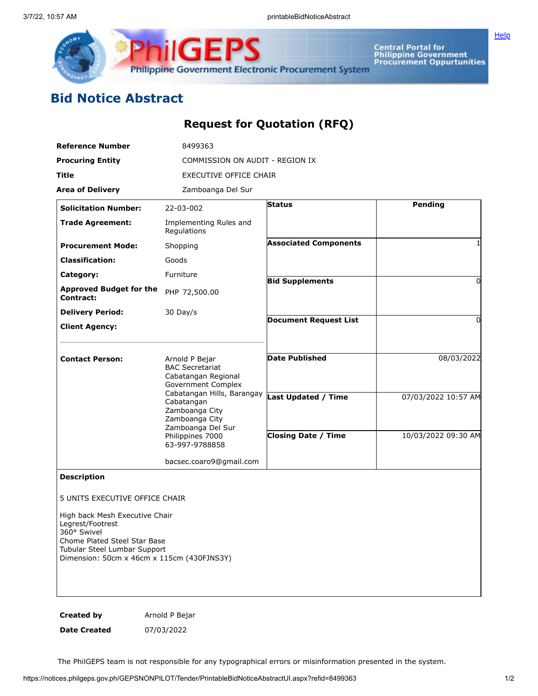

Central Portal for<br>Philippine Government<br>Procurement Oppurtunities

**[Help](javascript:void(window.open()** 

# Bid Notice Abstract

### Request for Quotation (RFQ)

| <b>Reference Number</b>                                                                                                                                                                                                                 | 8499363                                                                                                               |                                                          |                                            |  |  |  |
|-----------------------------------------------------------------------------------------------------------------------------------------------------------------------------------------------------------------------------------------|-----------------------------------------------------------------------------------------------------------------------|----------------------------------------------------------|--------------------------------------------|--|--|--|
| <b>Procuring Entity</b>                                                                                                                                                                                                                 | COMMISSION ON AUDIT - REGION IX                                                                                       |                                                          |                                            |  |  |  |
| Title                                                                                                                                                                                                                                   | <b>EXECUTIVE OFFICE CHAIR</b>                                                                                         |                                                          |                                            |  |  |  |
| <b>Area of Delivery</b>                                                                                                                                                                                                                 | Zamboanga Del Sur                                                                                                     |                                                          |                                            |  |  |  |
| <b>Solicitation Number:</b>                                                                                                                                                                                                             | 22-03-002                                                                                                             | <b>Status</b>                                            | Pending                                    |  |  |  |
| <b>Trade Agreement:</b>                                                                                                                                                                                                                 | Implementing Rules and<br>Regulations                                                                                 |                                                          |                                            |  |  |  |
| <b>Procurement Mode:</b>                                                                                                                                                                                                                | Shopping                                                                                                              | <b>Associated Components</b>                             |                                            |  |  |  |
| <b>Classification:</b>                                                                                                                                                                                                                  | Goods                                                                                                                 |                                                          |                                            |  |  |  |
| Category:                                                                                                                                                                                                                               | Furniture                                                                                                             | <b>Bid Supplements</b>                                   | 0                                          |  |  |  |
| <b>Approved Budget for the</b><br>Contract:                                                                                                                                                                                             | PHP 72,500.00                                                                                                         |                                                          |                                            |  |  |  |
| <b>Delivery Period:</b>                                                                                                                                                                                                                 | 30 Day/s                                                                                                              |                                                          |                                            |  |  |  |
| <b>Client Agency:</b>                                                                                                                                                                                                                   |                                                                                                                       | <b>Document Request List</b>                             | 0                                          |  |  |  |
| <b>Contact Person:</b>                                                                                                                                                                                                                  | Arnold P Bejar<br><b>BAC Secretariat</b><br>Cabatangan Regional<br>Government Complex                                 | <b>Date Published</b>                                    | 08/03/2022                                 |  |  |  |
|                                                                                                                                                                                                                                         | Cabatangan Hills, Barangay<br>Cabatangan<br>Zamboanga City<br>Zamboanga City<br>Zamboanga Del Sur<br>Philippines 7000 | <b>Last Updated / Time</b><br><b>Closing Date / Time</b> | 07/03/2022 10:57 AM<br>10/03/2022 09:30 AM |  |  |  |
|                                                                                                                                                                                                                                         | 63-997-9788858                                                                                                        |                                                          |                                            |  |  |  |
|                                                                                                                                                                                                                                         | bacsec.coaro9@gmail.com                                                                                               |                                                          |                                            |  |  |  |
| <b>Description</b><br>5 UNITS EXECUTIVE OFFICE CHAIR<br>High back Mesh Executive Chair<br>Legrest/Footrest<br>360° Swivel<br>Chome Plated Steel Star Base<br>Tubular Steel Lumbar Support<br>Dimension: 50cm x 46cm x 115cm (430FJNS3Y) |                                                                                                                       |                                                          |                                            |  |  |  |
| <b>Created by</b>                                                                                                                                                                                                                       | Arnold P Bejar                                                                                                        |                                                          |                                            |  |  |  |

Date Created 07/03/2022

The PhilGEPS team is not responsible for any typographical errors or misinformation presented in the system.